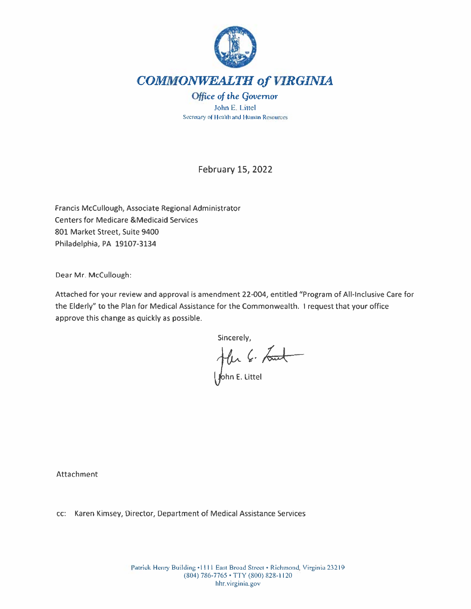

John E. Littel Secretary of Health and Human Resources

**February 15, 2022** 

Francis McCullough, Associate Regional Administrator **Centers for Medicare &Medicaid Services** 801 Market Street, Suite 9400 Philadelphia, PA 19107-3134

Dear Mr. McCullough:

Attached for your review and approval is amendment 22-004, entitled "Program of All-Inclusive Care for the Elderly" to the Plan for Medical Assistance for the Commonwealth. I request that your office approve this change as quickly as possible.

Sincerely,

Jelen C. Lout

Attachment

cc: Karen Kimsey, Director, Department of Medical Assistance Services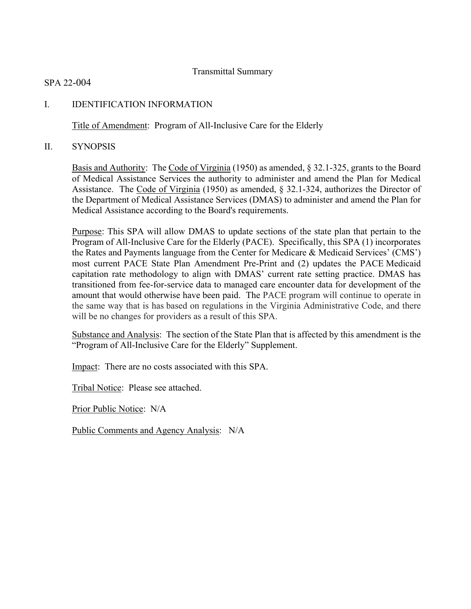### Transmittal Summary

SPA 22-004

## I. IDENTIFICATION INFORMATION

Title of Amendment: Program of All-Inclusive Care for the Elderly

II. SYNOPSIS

Basis and Authority: The Code of Virginia (1950) as amended, § 32.1-325, grants to the Board of Medical Assistance Services the authority to administer and amend the Plan for Medical Assistance. The Code of Virginia (1950) as amended, § 32.1-324, authorizes the Director of the Department of Medical Assistance Services (DMAS) to administer and amend the Plan for Medical Assistance according to the Board's requirements.

Purpose: This SPA will allow DMAS to update sections of the state plan that pertain to the Program of All-Inclusive Care for the Elderly (PACE). Specifically, this SPA (1) incorporates the Rates and Payments language from the Center for Medicare & Medicaid Services' (CMS') most current PACE State Plan Amendment Pre-Print and (2) updates the PACE Medicaid capitation rate methodology to align with DMAS' current rate setting practice. DMAS has transitioned from fee-for-service data to managed care encounter data for development of the amount that would otherwise have been paid. The PACE program will continue to operate in the same way that is has based on regulations in the Virginia Administrative Code, and there will be no changes for providers as a result of this SPA.

Substance and Analysis: The section of the State Plan that is affected by this amendment is the "Program of All-Inclusive Care for the Elderly" Supplement.

Impact: There are no costs associated with this SPA.

Tribal Notice: Please see attached.

Prior Public Notice: N/A

Public Comments and Agency Analysis: N/A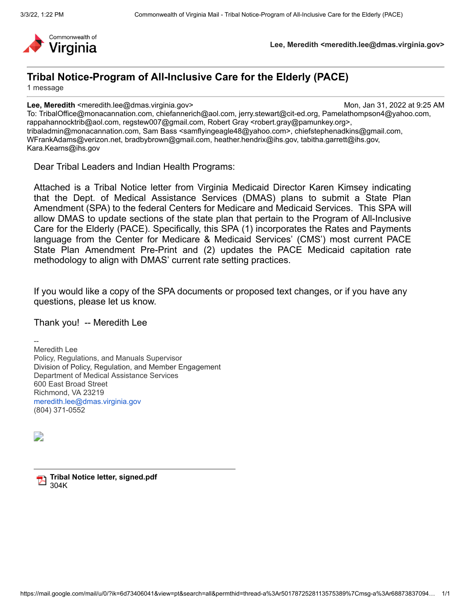

**Lee, Meredith <meredith.lee@dmas.virginia.gov>**

# **Tribal Notice-Program of All-Inclusive Care for the Elderly (PACE)**

1 message

**Lee, Meredith** <meredith.lee@dmas.virginia.gov> Mon, Jan 31, 2022 at 9:25 AM

To: TribalOffice@monacannation.com, chiefannerich@aol.com, jerry.stewart@cit-ed.org, Pamelathompson4@yahoo.com, rappahannocktrib@aol.com, regstew007@gmail.com, Robert Gray <robert.gray@pamunkey.org>, tribaladmin@monacannation.com, Sam Bass <samflyingeagle48@yahoo.com>, chiefstephenadkins@gmail.com, WFrankAdams@verizon.net, bradbybrown@gmail.com, heather.hendrix@ihs.gov, tabitha.garrett@ihs.gov, Kara.Kearns@ihs.gov

Dear Tribal Leaders and Indian Health Programs:

Attached is a Tribal Notice letter from Virginia Medicaid Director Karen Kimsey indicating that the Dept. of Medical Assistance Services (DMAS) plans to submit a State Plan Amendment (SPA) to the federal Centers for Medicare and Medicaid Services. This SPA will allow DMAS to update sections of the state plan that pertain to the Program of All-Inclusive Care for the Elderly (PACE). Specifically, this SPA (1) incorporates the Rates and Payments language from the Center for Medicare & Medicaid Services' (CMS') most current PACE State Plan Amendment Pre-Print and (2) updates the PACE Medicaid capitation rate methodology to align with DMAS' current rate setting practices.

If you would like a copy of the SPA documents or proposed text changes, or if you have any questions, please let us know.

Thank you! -- Meredith Lee

-- Meredith Lee Policy, Regulations, and Manuals Supervisor Division of Policy, Regulation, and Member Engagement Department of Medical Assistance Services 600 East Broad Street Richmond, VA 23219 [meredith.lee@dmas.virginia.gov](mailto:meredith.lee@dmas.virginia.gov) (804) 371-0552

D

**Tribal Notice letter, signed.pdf** 304K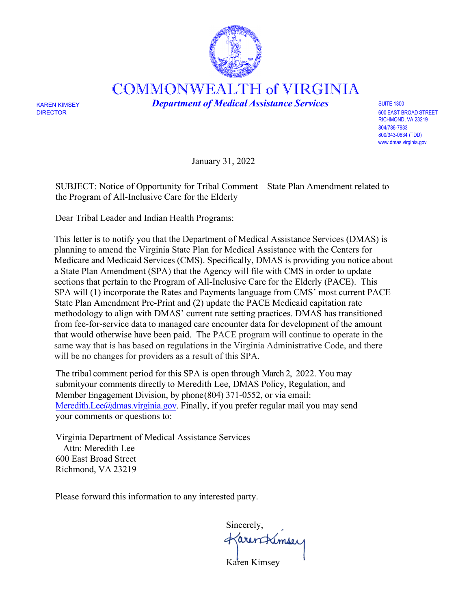

COMMONWEALTH of VIRGINIA

KAREN KIMSEY *Department of Medical Assistance Services* SUITE 1300

DIRECTOR 600 EAST BROAD STREET RICHMOND, VA 23219 804/786-7933 800/343-0634 (TDD) [www.dmas.virginia.gov](http://www.dmas.virginia.gov/)

January 31, 2022

SUBJECT: Notice of Opportunity for Tribal Comment – State Plan Amendment related to the Program of All-Inclusive Care for the Elderly

Dear Tribal Leader and Indian Health Programs:

This letter is to notify you that the Department of Medical Assistance Services (DMAS) is planning to amend the Virginia State Plan for Medical Assistance with the Centers for Medicare and Medicaid Services (CMS). Specifically, DMAS is providing you notice about a State Plan Amendment (SPA) that the Agency will file with CMS in order to update sections that pertain to the Program of All-Inclusive Care for the Elderly (PACE). This SPA will (1) incorporate the Rates and Payments language from CMS' most current PACE State Plan Amendment Pre-Print and (2) update the PACE Medicaid capitation rate methodology to align with DMAS' current rate setting practices. DMAS has transitioned from fee-for-service data to managed care encounter data for development of the amount that would otherwise have been paid. The PACE program will continue to operate in the same way that is has based on regulations in the Virginia Administrative Code, and there will be no changes for providers as a result of this SPA.

The tribal comment period for this SPA is open through March 2, 2022. You may submityour comments directly to Meredith Lee, DMAS Policy, Regulation, and Member Engagement Division, by phone (804) 371-0552, or via email: Meredith.Lee $@d$ mas.virginia.gov. Finally, if you prefer regular mail you may send your comments or questions to:

Virginia Department of Medical Assistance Services Attn: Meredith Lee 600 East Broad Street Richmond, VA 23219

Please forward this information to any interested party.

Sincerely, Karentrémier

Karen Kimsey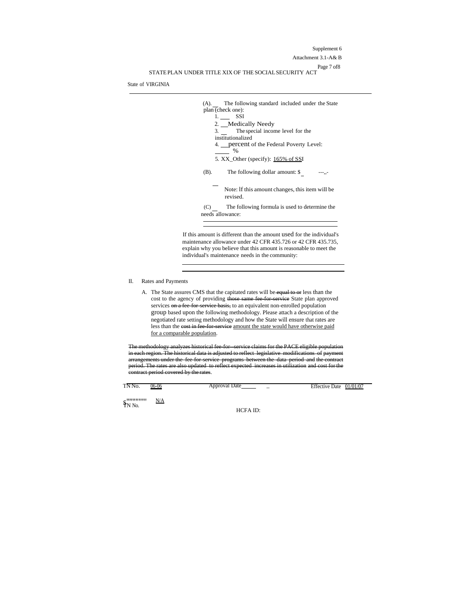Supplement 6 Attachment 3.1-A& B Page 7 of8 STATEPLAN UNDER TITLE XIX OF THESOCIALSECURITY ACT

State of VIRGINIA



If this amount is different than the amount used for the individual's maintenance allowance under 42 CFR 435.726 or 42 CFR 435.735, explain why you believe that this amount is reasonable to meet the individual's maintenance needs in the community:

#### II. Rates and Payments

A. The State assures CMS that the capitated rates will be equal to or less than the cost to the agency of providing those same fee for service State plan approved services on a fee for service basis, to an equivalent non-enrolled population ervice basis, to an equivalent non-enrolled population group based upon the following methodology. Please attach a description of the negotiated rate setting methodology and how the State will ensure that rates are less than the cost in fee-for-service amount the state would have otherwise paid for a comparable population.

The methodology analyzes historical fee-for--service claims for the PACE eligible population in each region. The historical data is adjusted to reflect legislative modifications of payment arrangements under the fee-for-service programs between the data period and the contract<br>period. The rates are also undated, to reflect expected, increases in utilization and cost for the  $\frac{1}{\text{period}}$ . The rates are also updated to reflect expected ract period covered by the rates.

| тN.<br>'NO.<br>-- . - . - . | $06 - 06$ | ля | - | Jalf<br>- 74<br>. |  |
|-----------------------------|-----------|----|---|-------------------|--|

\$''''''''<br>IN No. """"""" N/A

HCFA ID: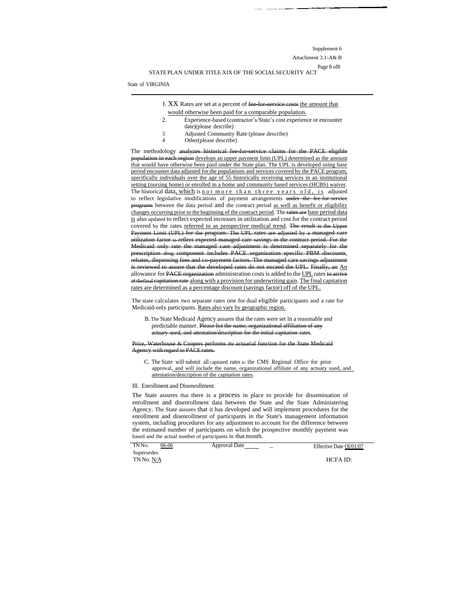Supplement 6

Attachment 3.1-A& B

Page 8 of8 STATEPLAN UNDER TITLE XIX OF THESOCIALSECURITY ACT

State of VIRGINIA

- I. XX Rates are set at a percent of fee for service costs the amount that would otherwise been paid for a comparable population.
- 2. Experience-based (contractor's/State's cost experience or encounter date)(please describe)
- 3 Adjusted Community Rate (please describe)<br>4 Other (please describe)
- Other(please describe)

The methodology analyzes historical fee-for-service claims for the PACE eligible population in each region develops an upper payment limit (UPL) determined as the amount that would have otherwise been paid under the State plan. The UPL is developed using base period encounter data adjusted for the populations and services covered by the PACE program, specifically individuals over the age of 55 historically receiving services in an institutional setting (nursing home) or enrolled in a home and community based services (HCBS) waiver. The historical data, which is not more than three years old, is adjusted to reflect legislative modifications of payment arrangements under the fee-for-service programs between the data period and the contract period as well as benefit or eligibility changes occurring prior to the beginning of the contract period. The rates are base period data is also updated to reflect expected increases in utilization and cost for the contract period covered by the rates referred to as prospective medical trend. The result is the Upper Payment Limit (UPL) for the program. The UPL rates are adjusted by a managed care utilization factor to reflect expected managed care savings in the contract period. For the Medicaid only rate the managed care adjustment is determined separately for the prescription drug component includes PACE organization specific PBM discounts, rebates, dispensing fees and co-payment factors. The managed care savings adjustment is reviewed to assure that the developed rates do not exceed the UPL. Finally, an An allowance for PACE organization administration costs is added to the UPL rates to arrive at the final capitation rate along with a provision for underwriting gain. The final capitation rates are determined as a percentage discount (savings factor) off of the UPL.

The state calculates two separate rates one for dual eligible participants and a rate for Medicaid-only participants. Rates also vary by geographic region.

B. The State Medicaid Agency assures that the rates were set in a reasonable and predictable manner. Please list the name, organizational affiliation of any actuary used, and attestation/description for the initial capitation rates.

Price, Waterhouse & Coopers performs *the* actuarial function for the State Medicaid Agency with regard to PACE rates.

C. The State will submit all capitated rates to the CMS Regional Office for prior approval, and will include the name, organizational affiliate of any actuary used, and attestation/description of the capitation rates.

Ill. Enrollment and Disenrollment

The State assures that there is a process in place to provide for dissemination of enrollment and disenrollment data between the State and the State Administering Agency. The State assures that it has developed and will implement procedures for the enrollment and disenrollment of participants in the State's management information system, including procedures for any adjustment to account for the difference between the estimated number of participants on which the prospective monthly payment was based and the actual number of participants in that month.

| TN <sub>N</sub> o.<br>06-06 | Approval Date | Effective Date Ol/01/07 |
|-----------------------------|---------------|-------------------------|
| Supersedes                  |               |                         |
| TN No. N/A                  |               | HCFA ID:                |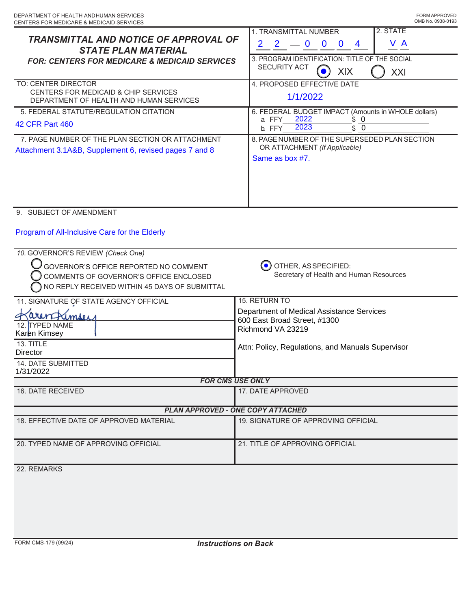| TRANSMITTAL AND NOTICE OF APPROVAL OF<br><b>STATE PLAN MATERIAL</b><br><b>FOR: CENTERS FOR MEDICARE &amp; MEDICAID SERVICES</b><br>TO: CENTER DIRECTOR<br>CENTERS FOR MEDICAID & CHIP SERVICES<br>DEPARTMENT OF HEALTH AND HUMAN SERVICES | 2. STATE<br>1. TRANSMITTAL NUMBER<br>V A<br>$\overline{2}$<br>2 <sup>1</sup><br>$-0$<br>$\bf{0}$<br>$\mathbf{0}$<br>$\overline{4}$<br>3. PROGRAM IDENTIFICATION: TITLE OF THE SOCIAL<br><b>SECURITY ACT</b><br>XIX<br>XXI<br>4. PROPOSED EFFECTIVE DATE<br>1/1/2022 |  |  |  |
|-------------------------------------------------------------------------------------------------------------------------------------------------------------------------------------------------------------------------------------------|---------------------------------------------------------------------------------------------------------------------------------------------------------------------------------------------------------------------------------------------------------------------|--|--|--|
|                                                                                                                                                                                                                                           |                                                                                                                                                                                                                                                                     |  |  |  |
| 5. FEDERAL STATUTE/REGULATION CITATION<br><b>42 CFR Part 460</b>                                                                                                                                                                          | 6. FEDERAL BUDGET IMPACT (Amounts in WHOLE dollars)<br>2022<br>\$0<br>a. FFY<br>2023<br>\$0<br>b. FFY                                                                                                                                                               |  |  |  |
| 7. PAGE NUMBER OF THE PLAN SECTION OR ATTACHMENT<br>Attachment 3.1A&B, Supplement 6, revised pages 7 and 8                                                                                                                                | 8. PAGE NUMBER OF THE SUPERSEDED PLAN SECTION<br>OR ATTACHMENT (If Applicable)<br>Same as box #7.                                                                                                                                                                   |  |  |  |
| 9. SUBJECT OF AMENDMENT                                                                                                                                                                                                                   |                                                                                                                                                                                                                                                                     |  |  |  |
| Program of All-Inclusive Care for the Elderly                                                                                                                                                                                             |                                                                                                                                                                                                                                                                     |  |  |  |
| 10. GOVERNOR'S REVIEW (Check One)<br>GOVERNOR'S OFFICE REPORTED NO COMMENT<br>COMMENTS OF GOVERNOR'S OFFICE ENCLOSED<br>NO REPLY RECEIVED WITHIN 45 DAYS OF SUBMITTAL                                                                     | OTHER, AS SPECIFIED:<br>Secretary of Health and Human Resources                                                                                                                                                                                                     |  |  |  |
| 11. SIGNATURE OF STATE AGENCY OFFICIAL                                                                                                                                                                                                    | 15. RETURN TO                                                                                                                                                                                                                                                       |  |  |  |
| arenfrimser<br>12. TYPED NAME<br>Karen Kimsey                                                                                                                                                                                             | Department of Medical Assistance Services<br>600 East Broad Street, #1300<br>Richmond VA 23219                                                                                                                                                                      |  |  |  |
| 13. TITLE<br>Director                                                                                                                                                                                                                     | Attn: Policy, Regulations, and Manuals Supervisor                                                                                                                                                                                                                   |  |  |  |
| <b>14. DATE SUBMITTED</b><br>1/31/2022                                                                                                                                                                                                    |                                                                                                                                                                                                                                                                     |  |  |  |
| <b>FOR CMS USE ONLY</b>                                                                                                                                                                                                                   |                                                                                                                                                                                                                                                                     |  |  |  |
| 16. DATE RECEIVED                                                                                                                                                                                                                         | 17. DATE APPROVED                                                                                                                                                                                                                                                   |  |  |  |
| <b>PLAN APPROVED - ONE COPY ATTACHED</b>                                                                                                                                                                                                  |                                                                                                                                                                                                                                                                     |  |  |  |
| 18. EFFECTIVE DATE OF APPROVED MATERIAL                                                                                                                                                                                                   | 19. SIGNATURE OF APPROVING OFFICIAL                                                                                                                                                                                                                                 |  |  |  |
| 20. TYPED NAME OF APPROVING OFFICIAL                                                                                                                                                                                                      | 21. TITLE OF APPROVING OFFICIAL                                                                                                                                                                                                                                     |  |  |  |
| 22. REMARKS                                                                                                                                                                                                                               |                                                                                                                                                                                                                                                                     |  |  |  |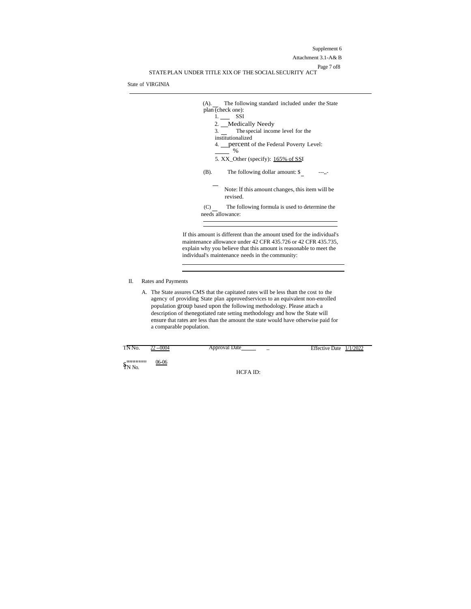Supplement 6 Attachment 3.1-A& B Page 7 of8 STATEPLAN UNDER TITLE XIX OF THESOCIALSECURITY ACT

State of VIRGINIA



If this amount is different than the amount used for the individual's maintenance allowance under 42 CFR 435.726 or 42 CFR 435.735, explain why you believe that this amount is reasonable to meet the individual's maintenance needs in the community:

#### II. Rates and Payments

A. The State assures CMS that the capitated rates will be less than the cost to the agency of providing State plan approved services to an equivalent non-enrolled population group based upon the following methodology. Please attach a description of thenegotiated rate setting methodology and how the State will ensure that rates are less than the amount the state would have otherwise paid for a comparable population.

| TN No.                          | 22 --0004 | Approval Date<br>- | Effective Date $1/1/2022$ |  |
|---------------------------------|-----------|--------------------|---------------------------|--|
| $\frac{\text{N}}{\text{N}}$ No. | $06 - 06$ |                    |                           |  |
|                                 |           | HCFA ID:           |                           |  |